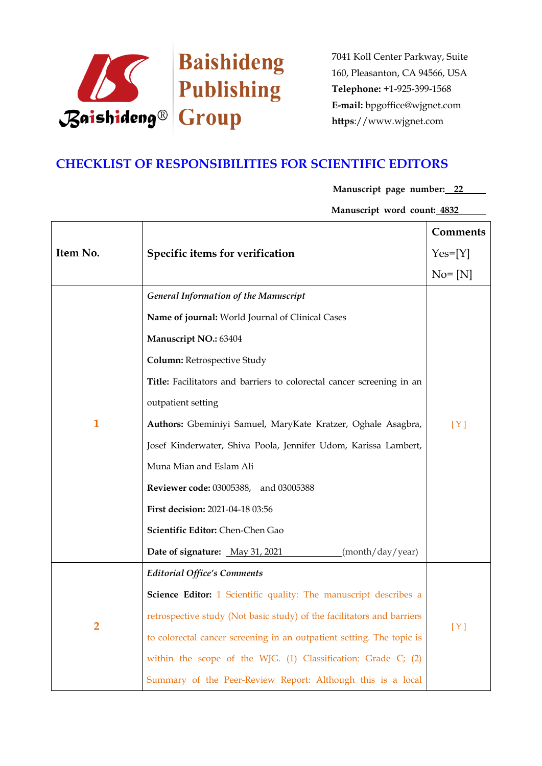

# **CHECKLIST OF RESPONSIBILITIES FOR SCIENTIFIC EDITORS**

**Manuscript page number: 22**

**Manuscript word count: 4832**

|                |                                                                        | <b>Comments</b> |
|----------------|------------------------------------------------------------------------|-----------------|
| Item No.       | Specific items for verification                                        | $Yes=[Y]$       |
|                |                                                                        | $No = [N]$      |
|                | <b>General Information of the Manuscript</b>                           |                 |
|                | Name of journal: World Journal of Clinical Cases                       |                 |
|                | Manuscript NO.: 63404                                                  |                 |
|                | Column: Retrospective Study                                            |                 |
|                | Title: Facilitators and barriers to colorectal cancer screening in an  |                 |
| $\mathbf{1}$   | outpatient setting                                                     |                 |
|                | Authors: Gbeminiyi Samuel, MaryKate Kratzer, Oghale Asagbra,           | [Y]             |
|                | Josef Kinderwater, Shiva Poola, Jennifer Udom, Karissa Lambert,        |                 |
|                | Muna Mian and Eslam Ali                                                |                 |
|                | <b>Reviewer code: 03005388, and 03005388</b>                           |                 |
|                | First decision: 2021-04-18 03:56                                       |                 |
|                | Scientific Editor: Chen-Chen Gao                                       |                 |
|                | Date of signature: May 31, 2021<br>(month/day/year)                    |                 |
|                | <b>Editorial Office's Comments</b>                                     |                 |
|                | Science Editor: 1 Scientific quality: The manuscript describes a       |                 |
| $\overline{2}$ | retrospective study (Not basic study) of the facilitators and barriers | [Y]             |
|                | to colorectal cancer screening in an outpatient setting. The topic is  |                 |
|                | within the scope of the WJG. (1) Classification: Grade C; (2)          |                 |
|                | Summary of the Peer-Review Report: Although this is a local            |                 |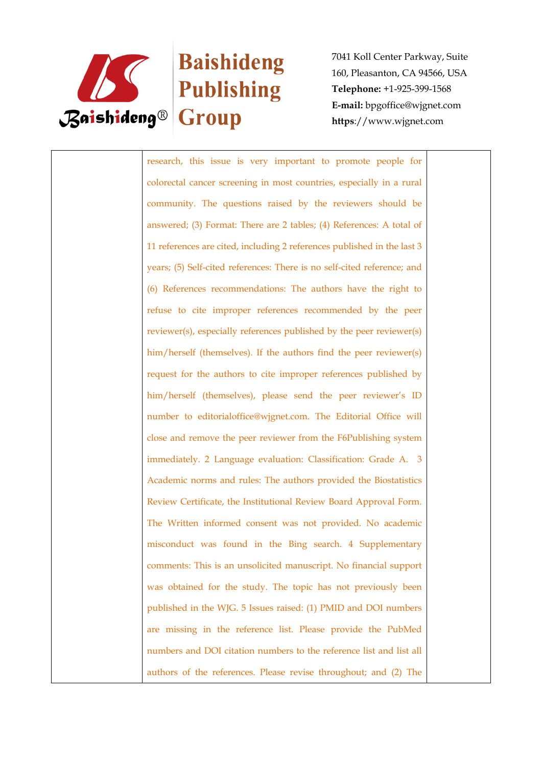

# Baishideng

7041 Koll Center Parkway, Suite 160, Pleasanton, CA 94566, USA **Telephone:** +1-925-399-1568 **E-mail:** bpgoffice@wjgnet.com **https**://www.wjgnet.com

research, this issue is very important to promote people for colorectal cancer screening in most countries, especially in a rural community. The questions raised by the reviewers should be answered; (3) Format: There are 2 tables; (4) References: A total of 11 references are cited, including 2 references published in the last 3 years; (5) Self-cited references: There is no self-cited reference; and (6) References recommendations: The authors have the right to refuse to cite improper references recommended by the peer reviewer(s), especially references published by the peer reviewer(s) him/herself (themselves). If the authors find the peer reviewer(s) request for the authors to cite improper references published by him/herself (themselves), please send the peer reviewer's ID number to editorialoffice@wjgnet.com. The Editorial Office will close and remove the peer reviewer from the F6Publishing system immediately. 2 Language evaluation: Classification: Grade A. 3 Academic norms and rules: The authors provided the Biostatistics Review Certificate, the Institutional Review Board Approval Form. The Written informed consent was not provided. No academic misconduct was found in the Bing search. 4 Supplementary comments: This is an unsolicited manuscript. No financial support was obtained for the study. The topic has not previously been published in the WJG. 5 Issues raised: (1) PMID and DOI numbers are missing in the reference list. Please provide the PubMed numbers and DOI citation numbers to the reference list and list all authors of the references. Please revise throughout; and (2) The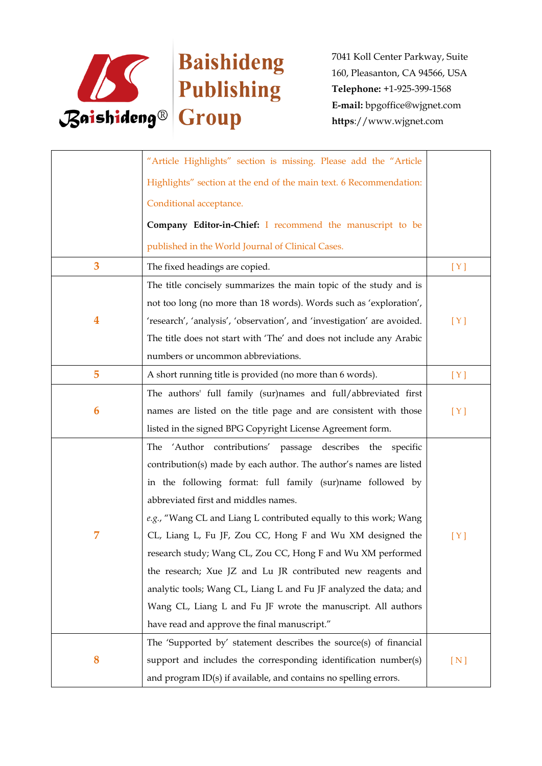

|   | "Article Highlights" section is missing. Please add the "Article        |     |
|---|-------------------------------------------------------------------------|-----|
|   | Highlights" section at the end of the main text. 6 Recommendation:      |     |
|   | Conditional acceptance.                                                 |     |
|   | Company Editor-in-Chief: I recommend the manuscript to be               |     |
|   | published in the World Journal of Clinical Cases.                       |     |
| 3 | The fixed headings are copied.                                          | [Y] |
|   | The title concisely summarizes the main topic of the study and is       |     |
|   | not too long (no more than 18 words). Words such as 'exploration',      |     |
| 4 | 'research', 'analysis', 'observation', and 'investigation' are avoided. | [Y] |
|   | The title does not start with 'The' and does not include any Arabic     |     |
|   | numbers or uncommon abbreviations.                                      |     |
| 5 | A short running title is provided (no more than 6 words).               | [Y] |
|   | The authors' full family (sur)names and full/abbreviated first          |     |
| 6 | names are listed on the title page and are consistent with those        | [Y] |
|   | listed in the signed BPG Copyright License Agreement form.              |     |
|   | 'Author contributions' passage describes the specific<br>The            |     |
|   | contribution(s) made by each author. The author's names are listed      |     |
|   | in the following format: full family (sur)name followed by              |     |
|   | abbreviated first and middles names.                                    |     |
|   | e.g., "Wang CL and Liang L contributed equally to this work; Wang       |     |
| 7 | CL, Liang L, Fu JF, Zou CC, Hong F and Wu XM designed the               | [Y] |
|   | research study; Wang CL, Zou CC, Hong F and Wu XM performed             |     |
|   | the research; Xue JZ and Lu JR contributed new reagents and             |     |
|   | analytic tools; Wang CL, Liang L and Fu JF analyzed the data; and       |     |
|   | Wang CL, Liang L and Fu JF wrote the manuscript. All authors            |     |
|   | have read and approve the final manuscript."                            |     |
|   | The 'Supported by' statement describes the source(s) of financial       |     |
| 8 | support and includes the corresponding identification number(s)         | [N] |
|   | and program ID(s) if available, and contains no spelling errors.        |     |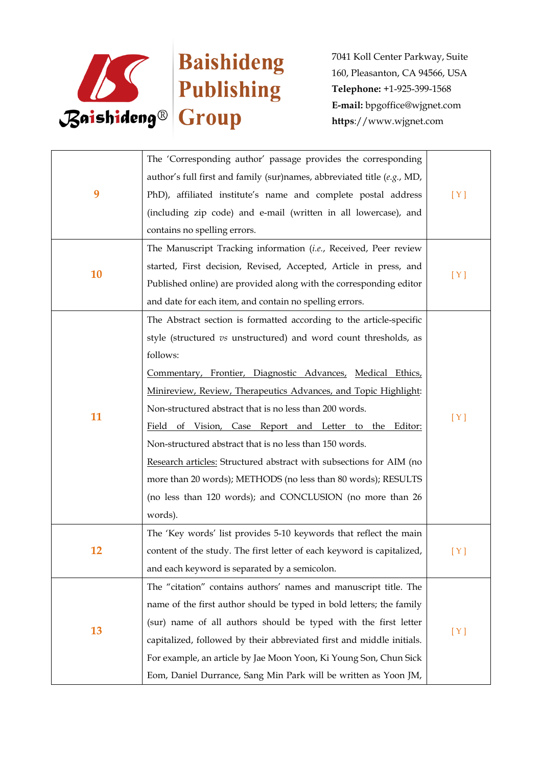

|    | The 'Corresponding author' passage provides the corresponding             |     |
|----|---------------------------------------------------------------------------|-----|
| 9  | author's full first and family (sur)names, abbreviated title $(e.g., MD,$ |     |
|    | PhD), affiliated institute's name and complete postal address             | [Y] |
|    | (including zip code) and e-mail (written in all lowercase), and           |     |
|    | contains no spelling errors.                                              |     |
|    | The Manuscript Tracking information (i.e., Received, Peer review          |     |
|    | started, First decision, Revised, Accepted, Article in press, and         |     |
| 10 | Published online) are provided along with the corresponding editor        | [Y] |
|    | and date for each item, and contain no spelling errors.                   |     |
|    | The Abstract section is formatted according to the article-specific       |     |
|    | style (structured vs unstructured) and word count thresholds, as          |     |
|    | follows:                                                                  |     |
|    | Commentary, Frontier, Diagnostic Advances, Medical Ethics,                | [Y] |
|    | Minireview, Review, Therapeutics Advances, and Topic Highlight:           |     |
|    | Non-structured abstract that is no less than 200 words.                   |     |
| 11 | Field of Vision, Case Report and Letter to the Editor:                    |     |
|    | Non-structured abstract that is no less than 150 words.                   |     |
|    | Research articles: Structured abstract with subsections for AIM (no       |     |
|    | more than 20 words); METHODS (no less than 80 words); RESULTS             |     |
|    | (no less than 120 words); and CONCLUSION (no more than 26                 |     |
|    | words).                                                                   |     |
|    | The 'Key words' list provides 5-10 keywords that reflect the main         |     |
| 12 | content of the study. The first letter of each keyword is capitalized,    | [Y] |
|    | and each keyword is separated by a semicolon.                             |     |
|    | The "citation" contains authors' names and manuscript title. The          |     |
|    | name of the first author should be typed in bold letters; the family      |     |
|    | (sur) name of all authors should be typed with the first letter           | [Y] |
| 13 | capitalized, followed by their abbreviated first and middle initials.     |     |
|    | For example, an article by Jae Moon Yoon, Ki Young Son, Chun Sick         |     |
|    | Eom, Daniel Durrance, Sang Min Park will be written as Yoon JM,           |     |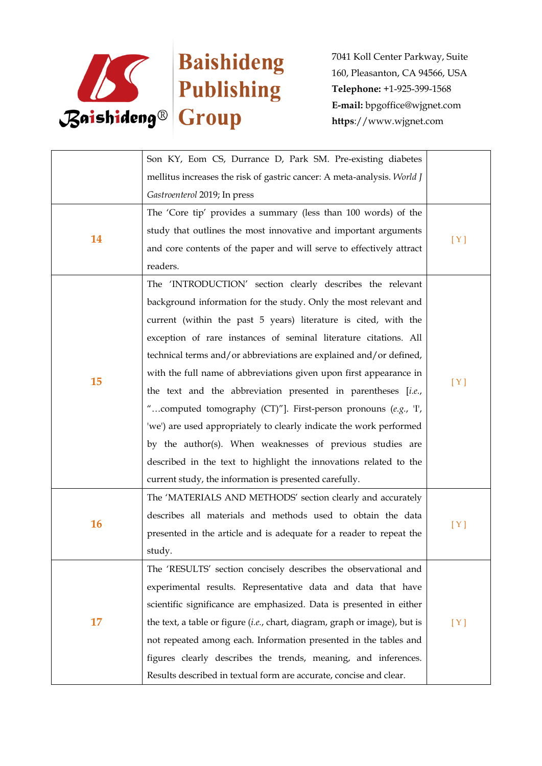

|           | Son KY, Eom CS, Durrance D, Park SM. Pre-existing diabetes                 |     |
|-----------|----------------------------------------------------------------------------|-----|
|           | mellitus increases the risk of gastric cancer: A meta-analysis. World J    |     |
|           | Gastroenterol 2019; In press                                               |     |
|           | The 'Core tip' provides a summary (less than 100 words) of the             |     |
| 14        | study that outlines the most innovative and important arguments            |     |
|           | and core contents of the paper and will serve to effectively attract       | [Y] |
|           | readers.                                                                   |     |
|           | The 'INTRODUCTION' section clearly describes the relevant                  |     |
|           | background information for the study. Only the most relevant and           |     |
|           | current (within the past 5 years) literature is cited, with the            |     |
|           | exception of rare instances of seminal literature citations. All           |     |
|           | technical terms and/or abbreviations are explained and/or defined,         |     |
|           | with the full name of abbreviations given upon first appearance in         |     |
| 15        | the text and the abbreviation presented in parentheses [i.e.,              | [Y] |
|           | "computed tomography (CT)"]. First-person pronouns (e.g., 'I',             |     |
|           | 'we') are used appropriately to clearly indicate the work performed        |     |
|           | by the author(s). When weaknesses of previous studies are                  |     |
|           | described in the text to highlight the innovations related to the          |     |
|           | current study, the information is presented carefully.                     |     |
|           | The 'MATERIALS AND METHODS' section clearly and accurately                 |     |
|           | describes all materials and methods used to obtain the data                |     |
| <b>16</b> | presented in the article and is adequate for a reader to repeat the        | [Y] |
|           | study.                                                                     |     |
| 17        | The 'RESULTS' section concisely describes the observational and            |     |
|           | experimental results. Representative data and data that have               |     |
|           | scientific significance are emphasized. Data is presented in either        |     |
|           | the text, a table or figure (i.e., chart, diagram, graph or image), but is | [Y] |
|           | not repeated among each. Information presented in the tables and           |     |
|           | figures clearly describes the trends, meaning, and inferences.             |     |
|           | Results described in textual form are accurate, concise and clear.         |     |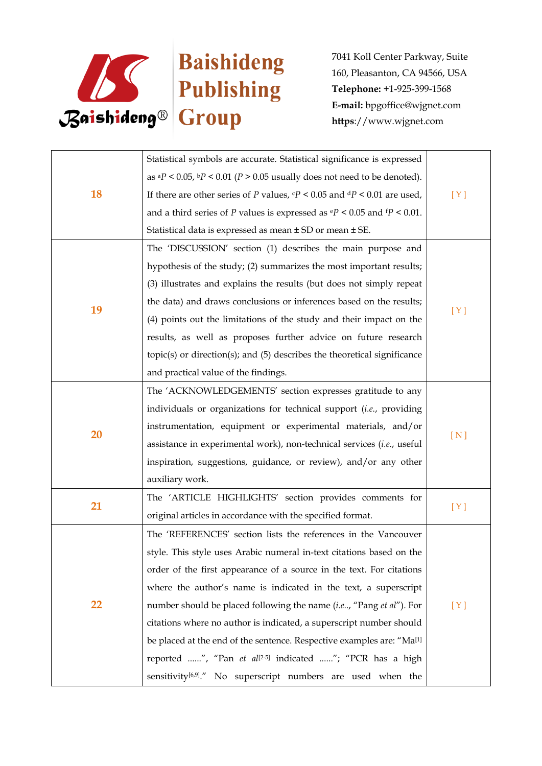

| <b>18</b> | Statistical symbols are accurate. Statistical significance is expressed                         |     |
|-----------|-------------------------------------------------------------------------------------------------|-----|
|           | as ${}^{a}P$ < 0.05, ${}^{b}P$ < 0.01 (P > 0.05 usually does not need to be denoted).           |     |
|           | If there are other series of P values, $\epsilon P < 0.05$ and $\frac{dP}{dP} < 0.01$ are used, | [Y] |
|           | and a third series of P values is expressed as $\mathbb{P}$ < 0.05 and $\mathbb{P}$ < 0.01.     |     |
|           | Statistical data is expressed as mean ± SD or mean ± SE.                                        |     |
|           | The 'DISCUSSION' section (1) describes the main purpose and                                     |     |
|           | hypothesis of the study; (2) summarizes the most important results;                             |     |
|           | (3) illustrates and explains the results (but does not simply repeat                            |     |
|           | the data) and draws conclusions or inferences based on the results;                             |     |
| 19        | (4) points out the limitations of the study and their impact on the                             | [Y] |
|           | results, as well as proposes further advice on future research                                  |     |
|           | $topic(s)$ or direction $(s)$ ; and $(5)$ describes the theoretical significance                |     |
|           | and practical value of the findings.                                                            |     |
|           | The 'ACKNOWLEDGEMENTS' section expresses gratitude to any                                       |     |
|           | individuals or organizations for technical support (i.e., providing                             |     |
|           | instrumentation, equipment or experimental materials, and/or                                    |     |
| 20        | assistance in experimental work), non-technical services (i.e., useful                          | [N] |
|           | inspiration, suggestions, guidance, or review), and/or any other                                |     |
|           | auxiliary work.                                                                                 |     |
|           | The 'ARTICLE HIGHLIGHTS' section provides comments for                                          |     |
| 21        | original articles in accordance with the specified format.                                      | [Y] |
|           | The 'REFERENCES' section lists the references in the Vancouver                                  |     |
|           | style. This style uses Arabic numeral in-text citations based on the                            |     |
| 22        | order of the first appearance of a source in the text. For citations                            |     |
|           | where the author's name is indicated in the text, a superscript                                 |     |
|           | number should be placed following the name (i.e, "Pang et al"). For                             | [Y] |
|           | citations where no author is indicated, a superscript number should                             |     |
|           | be placed at the end of the sentence. Respective examples are: "Ma <sup>[1]</sup>               |     |
|           | reported ", "Pan et al <sup>[2-5]</sup> indicated "; "PCR has a high                            |     |
|           | sensitivity <sup>[6,9]</sup> ." No superscript numbers are used when the                        |     |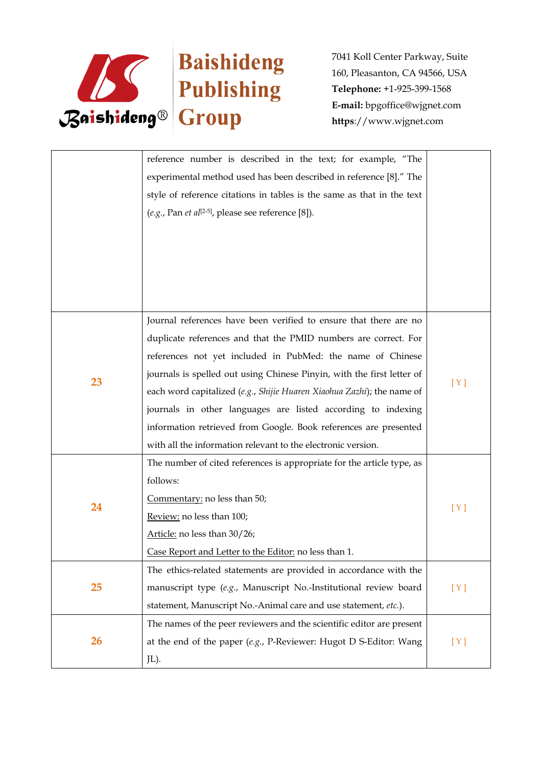

|           | reference number is described in the text; for example, "The                        |     |
|-----------|-------------------------------------------------------------------------------------|-----|
|           | experimental method used has been described in reference [8]." The                  |     |
|           | style of reference citations in tables is the same as that in the text              |     |
|           | $(e.g., Pan et al[2-5], please see reference [8]).$                                 |     |
|           |                                                                                     |     |
|           |                                                                                     |     |
|           |                                                                                     |     |
|           |                                                                                     |     |
|           |                                                                                     |     |
|           | Journal references have been verified to ensure that there are no                   |     |
|           | duplicate references and that the PMID numbers are correct. For                     |     |
|           | references not yet included in PubMed: the name of Chinese                          |     |
|           | journals is spelled out using Chinese Pinyin, with the first letter of              |     |
| 23        | each word capitalized (e.g., Shijie Huaren Xiaohua Zazhi); the name of              | [Y] |
|           | journals in other languages are listed according to indexing                        |     |
|           | information retrieved from Google. Book references are presented                    |     |
|           | with all the information relevant to the electronic version.                        |     |
|           | The number of cited references is appropriate for the article type, as              |     |
|           | follows:                                                                            |     |
|           | Commentary: no less than 50;                                                        |     |
| 24        | Review: no less than 100;                                                           | [Y] |
|           | Article: no less than 30/26;                                                        |     |
|           | Case Report and Letter to the Editor: no less than 1.                               |     |
|           | The ethics-related statements are provided in accordance with the                   |     |
| 25        | manuscript type (e.g., Manuscript No.-Institutional review board                    | [Y] |
|           | statement, Manuscript No.-Animal care and use statement, etc.).                     |     |
|           | The names of the peer reviewers and the scientific editor are present               |     |
| <b>26</b> | at the end of the paper $(e.g., P\text{-}Reviewer: Hugot D \text{ S-Editor: Wang})$ | [Y] |
|           | JL).                                                                                |     |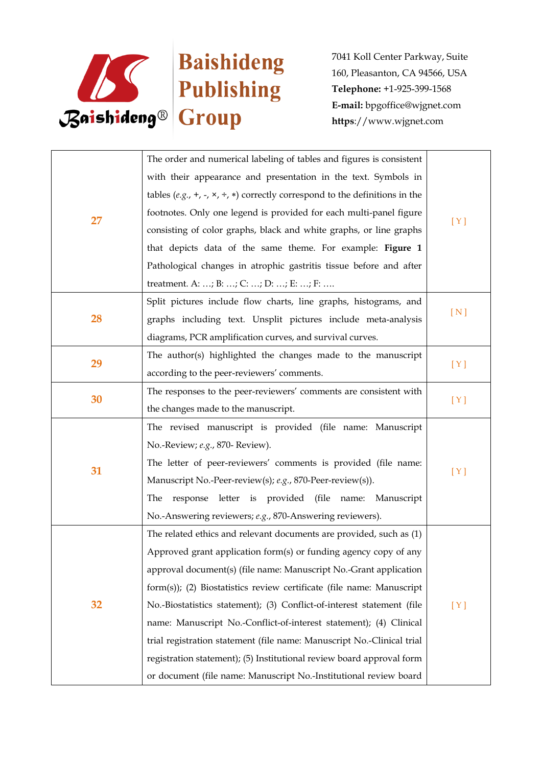

|    | The order and numerical labeling of tables and figures is consistent               |     |
|----|------------------------------------------------------------------------------------|-----|
|    | with their appearance and presentation in the text. Symbols in                     |     |
|    | tables $(e.g., +, -, \times, +, *)$ correctly correspond to the definitions in the |     |
|    | footnotes. Only one legend is provided for each multi-panel figure                 | [Y] |
| 27 | consisting of color graphs, black and white graphs, or line graphs                 |     |
|    | that depicts data of the same theme. For example: Figure 1                         |     |
|    | Pathological changes in atrophic gastritis tissue before and after                 |     |
|    | treatment. A: ; B: ; C: ; D: ; E: ; F:                                             |     |
|    | Split pictures include flow charts, line graphs, histograms, and                   |     |
| 28 | graphs including text. Unsplit pictures include meta-analysis                      | [N] |
|    | diagrams, PCR amplification curves, and survival curves.                           |     |
|    | The author(s) highlighted the changes made to the manuscript                       |     |
| 29 | according to the peer-reviewers' comments.                                         | [Y] |
|    | The responses to the peer-reviewers' comments are consistent with                  |     |
| 30 | the changes made to the manuscript.                                                | [Y] |
|    | The revised manuscript is provided (file name: Manuscript                          |     |
|    | No.-Review; e.g., 870- Review).                                                    |     |
| 31 | The letter of peer-reviewers' comments is provided (file name:                     |     |
|    | Manuscript No.-Peer-review(s); e.g., 870-Peer-review(s)).                          | [Y] |
|    | response letter is provided (file name: Manuscript<br>The                          |     |
|    | No.-Answering reviewers; e.g., 870-Answering reviewers).                           |     |
|    | The related ethics and relevant documents are provided, such as (1)                |     |
| 32 | Approved grant application form(s) or funding agency copy of any                   |     |
|    | approval document(s) (file name: Manuscript No.-Grant application                  |     |
|    | form(s)); (2) Biostatistics review certificate (file name: Manuscript              |     |
|    | No.-Biostatistics statement); (3) Conflict-of-interest statement (file             | [Y] |
|    | name: Manuscript No.-Conflict-of-interest statement); (4) Clinical                 |     |
|    | trial registration statement (file name: Manuscript No.-Clinical trial             |     |
|    | registration statement); (5) Institutional review board approval form              |     |
|    | or document (file name: Manuscript No.-Institutional review board                  |     |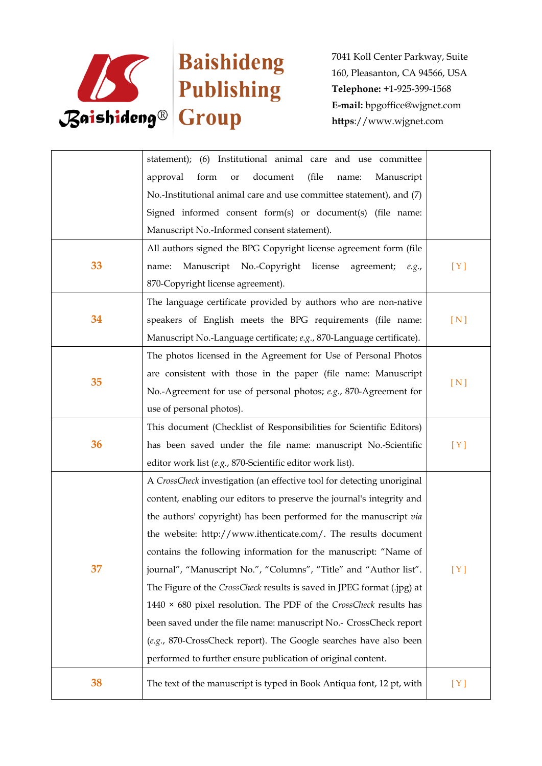

|    | statement); (6) Institutional animal care and use committee               |     |
|----|---------------------------------------------------------------------------|-----|
|    | document<br>approval<br>form<br>(file<br>Manuscript<br>or<br>name:        |     |
|    | No.-Institutional animal care and use committee statement), and (7)       |     |
|    | Signed informed consent form(s) or document(s) (file name:                |     |
|    | Manuscript No.-Informed consent statement).                               |     |
|    | All authors signed the BPG Copyright license agreement form (file         |     |
| 33 | Manuscript No.-Copyright<br>license<br>agreement;<br>name:<br>e.g.,       | [Y] |
|    | 870-Copyright license agreement).                                         |     |
|    | The language certificate provided by authors who are non-native           |     |
| 34 | speakers of English meets the BPG requirements (file name:                | [N] |
|    | Manuscript No.-Language certificate; e.g., 870-Language certificate).     |     |
|    | The photos licensed in the Agreement for Use of Personal Photos           |     |
| 35 | are consistent with those in the paper (file name: Manuscript             |     |
|    | No.-Agreement for use of personal photos; e.g., 870-Agreement for         | [N] |
|    | use of personal photos).                                                  |     |
|    | This document (Checklist of Responsibilities for Scientific Editors)      |     |
| 36 | has been saved under the file name: manuscript No.-Scientific             | [Y] |
|    | editor work list (e.g., 870-Scientific editor work list).                 |     |
|    | A CrossCheck investigation (an effective tool for detecting unoriginal    |     |
|    | content, enabling our editors to preserve the journal's integrity and     |     |
|    | the authors' copyright) has been performed for the manuscript via         |     |
|    | the website: http://www.ithenticate.com/. The results document            |     |
|    | contains the following information for the manuscript: "Name of           |     |
| 37 | journal", "Manuscript No.", "Columns", "Title" and "Author list".         | [Y] |
|    | The Figure of the CrossCheck results is saved in JPEG format (.jpg) at    |     |
|    | 1440 $\times$ 680 pixel resolution. The PDF of the CrossCheck results has |     |
|    | been saved under the file name: manuscript No.- CrossCheck report         |     |
|    | (e.g., 870-CrossCheck report). The Google searches have also been         |     |
|    | performed to further ensure publication of original content.              |     |
| 38 | The text of the manuscript is typed in Book Antiqua font, 12 pt, with     | [Y] |